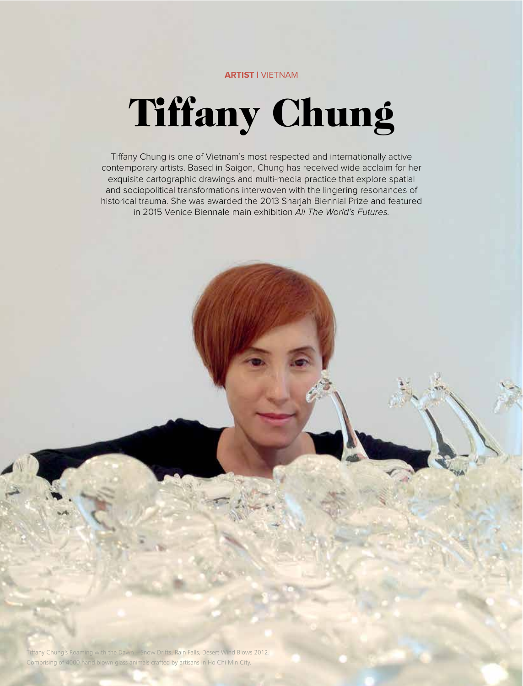# **ARTIST |** VIETNAM

# Tiffany Chung

Tiffany Chung is one of Vietnam's most respected and internationally active contemporary artists. Based in Saigon, Chung has received wide acclaim for her exquisite cartographic drawings and multi-media practice that explore spatial and sociopolitical transformations interwoven with the lingering resonances of historical trauma. She was awarded the 2013 Sharjah Biennial Prize and featured in 2015 Venice Biennale main exhibition All The World's Futures.

Comprising of 4000 hand blown glass animals crafted by artisans in Ho Chi Min City.<br>. Tiffany Chung's Roaming with the Dawn – Snow Drifts, Rain Falls, Desert Wind Blows 2012.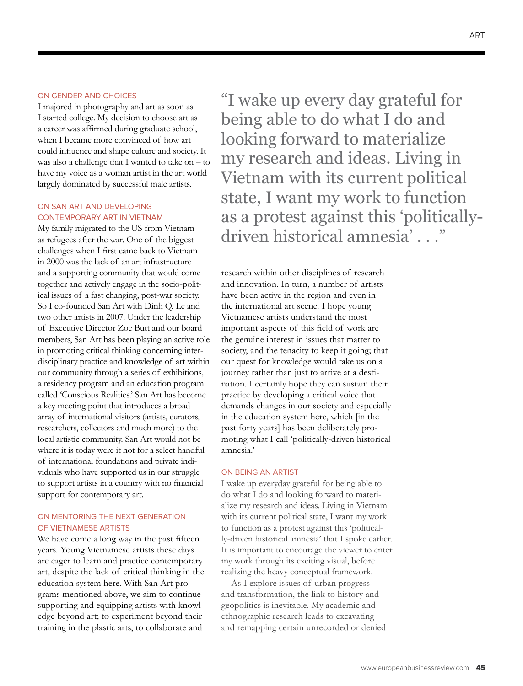### ON GENDER AND CHOICES

I majored in photography and art as soon as I started college. My decision to choose art as a career was affirmed during graduate school, when I became more convinced of how art could influence and shape culture and society. It was also a challenge that I wanted to take on – to have my voice as a woman artist in the art world largely dominated by successful male artists.

# ON SAN ART AND DEVELOPING CONTEMPORARY ART IN VIETNAM

My family migrated to the US from Vietnam as refugees after the war. One of the biggest challenges when I first came back to Vietnam in 2000 was the lack of an art infrastructure and a supporting community that would come together and actively engage in the socio-political issues of a fast changing, post-war society. So I co-founded San Art with Dinh Q. Le and two other artists in 2007. Under the leadership of Executive Director Zoe Butt and our board members, San Art has been playing an active role in promoting critical thinking concerning interdisciplinary practice and knowledge of art within our community through a series of exhibitions, a residency program and an education program called 'Conscious Realities.' San Art has become a key meeting point that introduces a broad array of international visitors (artists, curators, researchers, collectors and much more) to the local artistic community. San Art would not be where it is today were it not for a select handful of international foundations and private individuals who have supported us in our struggle to support artists in a country with no financial support for contemporary art.

# ON MENTORING THE NEXT GENERATION OF VIETNAMESE ARTISTS

We have come a long way in the past fifteen years. Young Vietnamese artists these days are eager to learn and practice contemporary art, despite the lack of critical thinking in the education system here. With San Art programs mentioned above, we aim to continue supporting and equipping artists with knowledge beyond art; to experiment beyond their training in the plastic arts, to collaborate and

"I wake up every day grateful for being able to do what I do and looking forward to materialize my research and ideas. Living in Vietnam with its current political state, I want my work to function as a protest against this 'politicallydriven historical amnesia' . . ."

research within other disciplines of research and innovation. In turn, a number of artists have been active in the region and even in the international art scene. I hope young Vietnamese artists understand the most important aspects of this field of work are the genuine interest in issues that matter to society, and the tenacity to keep it going; that our quest for knowledge would take us on a journey rather than just to arrive at a destination. I certainly hope they can sustain their practice by developing a critical voice that demands changes in our society and especially in the education system here, which [in the past forty years] has been deliberately promoting what I call 'politically-driven historical amnesia.'

### ON BEING AN ARTIST

I wake up everyday grateful for being able to do what I do and looking forward to materialize my research and ideas. Living in Vietnam with its current political state, I want my work to function as a protest against this 'politically-driven historical amnesia' that I spoke earlier. It is important to encourage the viewer to enter my work through its exciting visual, before realizing the heavy conceptual framework.

As I explore issues of urban progress and transformation, the link to history and geopolitics is inevitable. My academic and ethnographic research leads to excavating and remapping certain unrecorded or denied